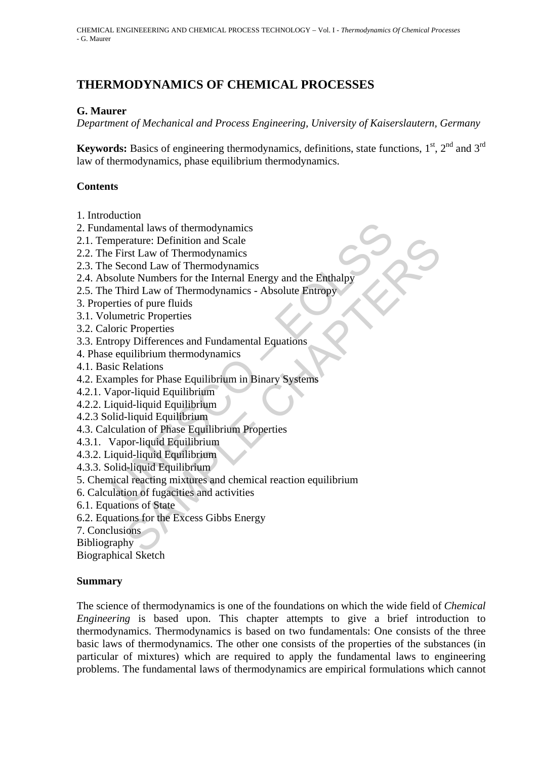# **THERMODYNAMICS OF CHEMICAL PROCESSES**

### **G. Maurer**

*Department of Mechanical and Process Engineering, University of Kaiserslautern, Germany* 

**Keywords:** Basics of engineering thermodynamics, definitions, state functions,  $1<sup>st</sup>$ ,  $2<sup>nd</sup>$  and  $3<sup>rd</sup>$ law of thermodynamics, phase equilibrium thermodynamics.

### **Contents**

- 1. Introduction
- 2. Fundamental laws of thermodynamics
- 2.1. Temperature: Definition and Scale
- 2.2. The First Law of Thermodynamics
- 2.3. The Second Law of Thermodynamics
- 2.4. Absolute Numbers for the Internal Energy and the Enthalpy
- 2.5. The Third Law of Thermodynamics Absolute Entropy
- 3. Properties of pure fluids
- 3.1. Volumetric Properties
- 3.2. Caloric Properties
- 3.3. Entropy Differences and Fundamental Equations
- 4. Phase equilibrium thermodynamics
- 4.1. Basic Relations
- 4.2. Examples for Phase Equilibrium in Binary Systems
- 4.2.1. Vapor-liquid Equilibrium
- 4.2.2. Liquid-liquid Equilibrium
- 4.2.3 Solid-liquid Equilibrium
- 4.3. Calculation of Phase Equilibrium Properties
- 4.3.1. Vapor-liquid Equilibrium
- 4.3.2. Liquid-liquid Equilibrium
- 4.3.3. Solid-liquid Equilibrium
- amental laws of thermodynamics<br>
amental laws of Thermodynamics<br>
Dependicular Erist Law of Thermodynamics<br>
Second Law of Thermodynamics<br>
Second Law of Themates for the Internal Energy and the Enthalpy<br>
Third Law of Thermody Fracture: Definition and Scale<br>
Scale and Thermodynamics<br>
SCond Law of Thermodynamics<br>
tect Numbers for the Internal Energy and the Enthalpy<br>
ind Law of Thermodynamics - Absolute Entropy<br>
set of the fluids<br>
teric Propertie 5. Chemical reacting mixtures and chemical reaction equilibrium
- 6. Calculation of fugacities and activities
- 6.1. Equations of State
- 6.2. Equations for the Excess Gibbs Energy
- 7. Conclusions
- **Bibliography**

Biographical Sketch

#### **Summary**

The science of thermodynamics is one of the foundations on which the wide field of *Chemical Engineering* is based upon. This chapter attempts to give a brief introduction to thermodynamics. Thermodynamics is based on two fundamentals: One consists of the three basic laws of thermodynamics. The other one consists of the properties of the substances (in particular of mixtures) which are required to apply the fundamental laws to engineering problems. The fundamental laws of thermodynamics are empirical formulations which cannot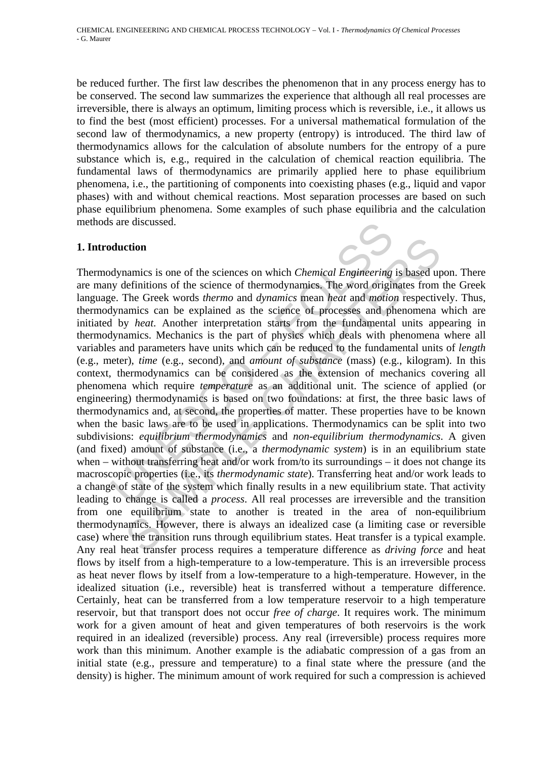be reduced further. The first law describes the phenomenon that in any process energy has to be conserved. The second law summarizes the experience that although all real processes are irreversible, there is always an optimum, limiting process which is reversible, i.e., it allows us to find the best (most efficient) processes. For a universal mathematical formulation of the second law of thermodynamics, a new property (entropy) is introduced. The third law of thermodynamics allows for the calculation of absolute numbers for the entropy of a pure substance which is, e.g., required in the calculation of chemical reaction equilibria. The fundamental laws of thermodynamics are primarily applied here to phase equilibrium phenomena, i.e., the partitioning of components into coexisting phases (e.g., liquid and vapor phases) with and without chemical reactions. Most separation processes are based on such phase equilibrium phenomena. Some examples of such phase equilibria and the calculation methods are discussed.

#### **1. Introduction**

stare discussed.<br> **Multion**<br> **Multion**<br> **Multion**<br> **Multions** of the sciences on which *Chemical Engineering*<br>
by definitions of the science of thermodynamics. The word origin<br>
e. The Greek words *thermo* and *dynamics* me ction<br>extinction<br>animics is one of the sciences on which *Chemical Engineering* is based ufelfinitions of the science of thermodynamics. The word originates from<br>The Greek words *thermo* and *dynamics* mean *heat* and *mot* Thermodynamics is one of the sciences on which *Chemical Engineering* is based upon. There are many definitions of the science of thermodynamics. The word originates from the Greek language. The Greek words *thermo* and *dynamics* mean *heat* and *motion* respectively. Thus, thermodynamics can be explained as the science of processes and phenomena which are initiated by *heat*. Another interpretation starts from the fundamental units appearing in thermodynamics. Mechanics is the part of physics which deals with phenomena where all variables and parameters have units which can be reduced to the fundamental units of *length* (e.g., meter), *time* (e.g., second), and *amount of substance* (mass) (e.g., kilogram). In this context, thermodynamics can be considered as the extension of mechanics covering all phenomena which require *temperature* as an additional unit. The science of applied (or engineering) thermodynamics is based on two foundations: at first, the three basic laws of thermodynamics and, at second, the properties of matter. These properties have to be known when the basic laws are to be used in applications. Thermodynamics can be split into two subdivisions: *equilibrium thermodynamics* and *non-equilibrium thermodynamics*. A given (and fixed) amount of substance (i.e., a *thermodynamic system*) is in an equilibrium state when – without transferring heat and/or work from/to its surroundings – it does not change its macroscopic properties (i.e., its *thermodynamic state*). Transferring heat and/or work leads to a change of state of the system which finally results in a new equilibrium state. That activity leading to change is called a *process*. All real processes are irreversible and the transition from one equilibrium state to another is treated in the area of non-equilibrium thermodynamics. However, there is always an idealized case (a limiting case or reversible case) where the transition runs through equilibrium states. Heat transfer is a typical example. Any real heat transfer process requires a temperature difference as *driving force* and heat flows by itself from a high-temperature to a low-temperature. This is an irreversible process as heat never flows by itself from a low-temperature to a high-temperature. However, in the idealized situation (i.e., reversible) heat is transferred without a temperature difference. Certainly, heat can be transferred from a low temperature reservoir to a high temperature reservoir, but that transport does not occur *free of charge*. It requires work. The minimum work for a given amount of heat and given temperatures of both reservoirs is the work required in an idealized (reversible) process. Any real (irreversible) process requires more work than this minimum. Another example is the adiabatic compression of a gas from an initial state (e.g., pressure and temperature) to a final state where the pressure (and the density) is higher. The minimum amount of work required for such a compression is achieved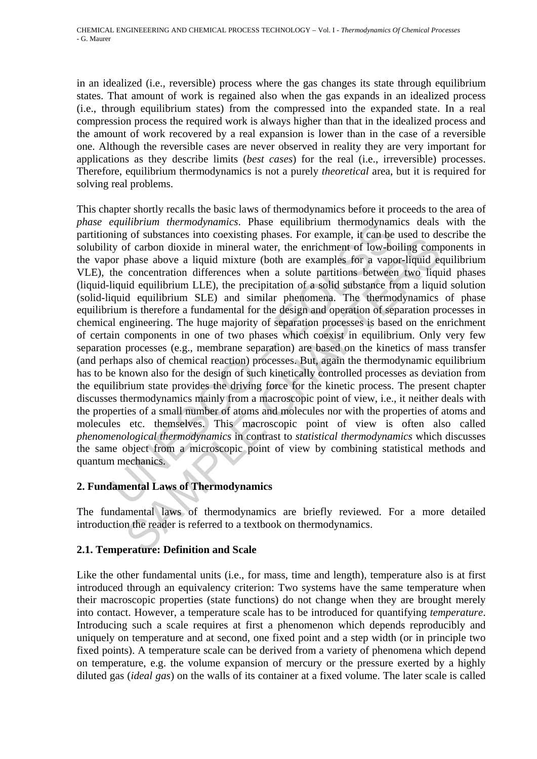in an idealized (i.e., reversible) process where the gas changes its state through equilibrium states. That amount of work is regained also when the gas expands in an idealized process (i.e., through equilibrium states) from the compressed into the expanded state. In a real compression process the required work is always higher than that in the idealized process and the amount of work recovered by a real expansion is lower than in the case of a reversible one. Although the reversible cases are never observed in reality they are very important for applications as they describe limits (*best cases*) for the real (i.e., irreversible) processes. Therefore, equilibrium thermodynamics is not a purely *theoretical* area, but it is required for solving real problems.

equalibrium intermodynamics. Phase equilibrium intermodynamics exity equilibrium intermodynamicy by systems into coexisting phases. For example, it can be or phase above a liquid mixture (both are examples for a vapone or go a suossames mo coexassum phases. For example, a can be used or used of rarbon dioxide in mineral water, the enrichment of low-boiling comphase above a liquid mixture (both are examples for a vapor-liquid ex concentratio This chapter shortly recalls the basic laws of thermodynamics before it proceeds to the area of *phase equilibrium thermodynamics*. Phase equilibrium thermodynamics deals with the partitioning of substances into coexisting phases. For example, it can be used to describe the solubility of carbon dioxide in mineral water, the enrichment of low-boiling components in the vapor phase above a liquid mixture (both are examples for a vapor-liquid equilibrium VLE), the concentration differences when a solute partitions between two liquid phases (liquid-liquid equilibrium LLE), the precipitation of a solid substance from a liquid solution (solid-liquid equilibrium SLE) and similar phenomena. The thermodynamics of phase equilibrium is therefore a fundamental for the design and operation of separation processes in chemical engineering. The huge majority of separation processes is based on the enrichment of certain components in one of two phases which coexist in equilibrium. Only very few separation processes (e.g., membrane separation) are based on the kinetics of mass transfer (and perhaps also of chemical reaction) processes. But, again the thermodynamic equilibrium has to be known also for the design of such kinetically controlled processes as deviation from the equilibrium state provides the driving force for the kinetic process. The present chapter discusses thermodynamics mainly from a macroscopic point of view, i.e., it neither deals with the properties of a small number of atoms and molecules nor with the properties of atoms and molecules etc. themselves. This macroscopic point of view is often also called *phenomenological thermodynamics* in contrast to *statistical thermodynamics* which discusses the same object from a microscopic point of view by combining statistical methods and quantum mechanics.

# **2. Fundamental Laws of Thermodynamics**

The fundamental laws of thermodynamics are briefly reviewed. For a more detailed introduction the reader is referred to a textbook on thermodynamics.

#### **2.1. Temperature: Definition and Scale**

Like the other fundamental units (i.e., for mass, time and length), temperature also is at first introduced through an equivalency criterion: Two systems have the same temperature when their macroscopic properties (state functions) do not change when they are brought merely into contact. However, a temperature scale has to be introduced for quantifying *temperature*. Introducing such a scale requires at first a phenomenon which depends reproducibly and uniquely on temperature and at second, one fixed point and a step width (or in principle two fixed points). A temperature scale can be derived from a variety of phenomena which depend on temperature, e.g. the volume expansion of mercury or the pressure exerted by a highly diluted gas (*ideal gas*) on the walls of its container at a fixed volume. The later scale is called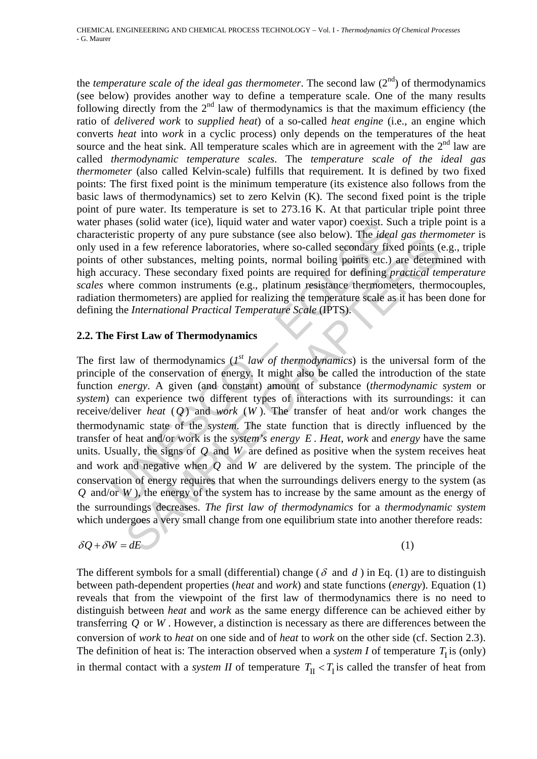the *temperature scale of the ideal gas thermometer*. The second law  $(2^{nd})$  of thermodynamics (see below) provides another way to define a temperature scale. One of the many results following directly from the  $2<sup>nd</sup>$  law of thermodynamics is that the maximum efficiency (the ratio of *delivered work* to *supplied heat*) of a so-called *heat engine* (i.e., an engine which converts *heat* into *work* in a cyclic process) only depends on the temperatures of the heat source and the heat sink. All temperature scales which are in agreement with the  $2<sup>nd</sup>$  law are called *thermodynamic temperature scales*. The *temperature scale of the ideal gas thermometer* (also called Kelvin-scale) fulfills that requirement. It is defined by two fixed points: The first fixed point is the minimum temperature (its existence also follows from the basic laws of thermodynamics) set to zero Kelvin (K). The second fixed point is the triple point of pure water. Its temperature is set to 273.16 K. At that particular triple point three water phases (solid water (ice), liquid water and water vapor) coexist. Such a triple point is a characteristic property of any pure substance (see also below). The *ideal gas thermometer* is only used in a few reference laboratories, where so-called secondary fixed points (e.g., triple points of other substances, melting points, normal boiling points etc.) are determined with high accuracy. These secondary fixed points are required for defining *practical temperature scales* where common instruments (e.g., platinum resistance thermometers, thermocouples, radiation thermometers) are applied for realizing the temperature scale as it has been done for defining the *International Practical Temperature Scale* (IPTS).

#### **2.2. The First Law of Thermodynamics**

hases (solid water (ice), liquid water and water vapor) coexist. Surface in<br>presist copperty of any pure substance (see also below). The *idea*<br>of other substances, melting points, normal boiling points etc.)<br>occuracy. Th In a few property of any pure sussainte (see as<br>o colow), the aceal gas memoriton in a few reference laboratories, where so-called secondary fixed points (there substances, melting points, normal boiling points etc.) are The first law of thermodynamics (*1st law of thermodynamics*) is the universal form of the principle of the conservation of energy. It might also be called the introduction of the state function *energy*. A given (and constant) amount of substance (*thermodynamic system* or *system*) can experience two different types of interactions with its surroundings: it can receive/deliver *heat* (*Q* ) and *work* (*W* ). The transfer of heat and/or work changes the thermodynamic state of the *system*. The state function that is directly influenced by the transfer of heat and/or work is the *system's energy E* . *Heat*, *work* and *energy* have the same units. Usually, the signs of *Q* and *W* are defined as positive when the system receives heat and work and negative when *Q* and *W* are delivered by the system. The principle of the conservation of energy requires that when the surroundings delivers energy to the system (as *Q* and/or *W* ), the energy of the system has to increase by the same amount as the energy of the surroundings decreases. *The first law of thermodynamics* for a *thermodynamic system* which undergoes a very small change from one equilibrium state into another therefore reads:

$$
\delta Q + \delta W = dE \tag{1}
$$

The different symbols for a small (differential) change ( $\delta$  and  $d$ ) in Eq. (1) are to distinguish between path-dependent properties (*heat* and *work*) and state functions (*energy*). Equation (1) reveals that from the viewpoint of the first law of thermodynamics there is no need to distinguish between *heat* and *work* as the same energy difference can be achieved either by transferring *Q* or *W* . However, a distinction is necessary as there are differences between the conversion of *work* to *heat* on one side and of *heat* to *work* on the other side (cf. Section 2.3). The definition of heat is: The interaction observed when a *system I* of temperature  $T_1$  is (only) in thermal contact with a *system II* of temperature  $T_{II} < T_I$  is called the transfer of heat from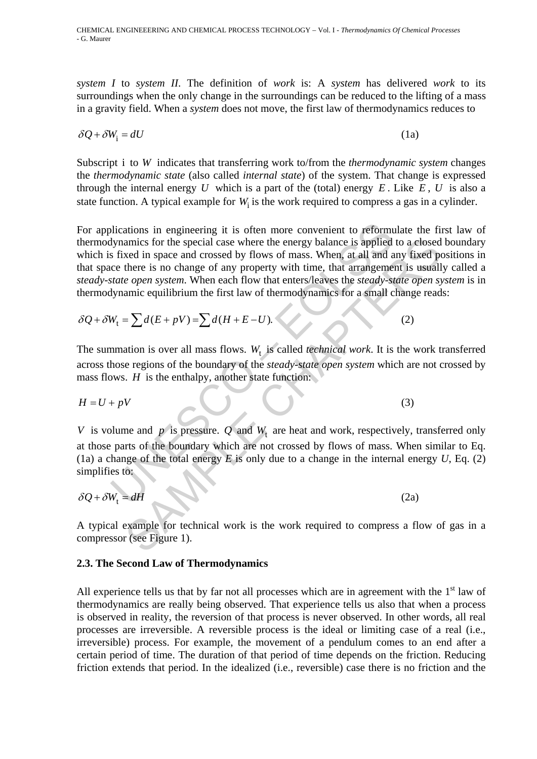*system I* to *system II*. The definition of *work* is: A *system* has delivered *work* to its surroundings when the only change in the surroundings can be reduced to the lifting of a mass in a gravity field. When a *system* does not move, the first law of thermodynamics reduces to

$$
\delta Q + \delta W_{i} = dU \tag{1a}
$$

Subscript i to *W* indicates that transferring work to/from the *thermodynamic system* changes the *thermodynamic state* (also called *internal state*) of the system. That change is expressed through the internal energy  $U$  which is a part of the (total) energy  $E$ . Like  $E$ ,  $U$  is also a state function. A typical example for *W*<sub>i</sub> is the work required to compress a gas in a cylinder.

blications in engineering it is often more convenient to reform<br>dynamics for the special case where the energy balance is applied<br>s fixed in space and crossed by flows of mass. When, at all and a<br>ce there is no change of amics for the special case where the energy balance is applied to a closed<br>
search in space and crossed by flows of mass. When, at all and any fixed porter is no change of any property with time, that arrangement is usual For applications in engineering it is often more convenient to reformulate the first law of thermodynamics for the special case where the energy balance is applied to a closed boundary which is fixed in space and crossed by flows of mass. When, at all and any fixed positions in that space there is no change of any property with time, that arrangement is usually called a *steady-state open system*. When each flow that enters/leaves the *steady-state open system* is in thermodynamic equilibrium the first law of thermodynamics for a small change reads:

$$
\delta Q + \delta W_t = \sum d(E + pV) = \sum d(H + E - U). \tag{2}
$$

The summation is over all mass flows.  $W_t$  is called *technical work*. It is the work transferred across those regions of the boundary of the *steady-state open system* which are not crossed by mass flows. *H* is the enthalpy, another state function:

$$
H = U + pV \tag{3}
$$

*V* is volume and *p* is pressure. *Q* and  $W_t$  are heat and work, respectively, transferred only at those parts of the boundary which are not crossed by flows of mass. When similar to Eq. (1a) a change of the total energy  $E$  is only due to a change in the internal energy  $U$ , Eq. (2) simplifies to:

$$
\delta Q + \delta W_t = dH \tag{2a}
$$

A typical example for technical work is the work required to compress a flow of gas in a compressor (see Figure 1).

#### **2.3. The Second Law of Thermodynamics**

All experience tells us that by far not all processes which are in agreement with the  $1<sup>st</sup>$  law of thermodynamics are really being observed. That experience tells us also that when a process is observed in reality, the reversion of that process is never observed. In other words, all real processes are irreversible. A reversible process is the ideal or limiting case of a real (i.e., irreversible) process. For example, the movement of a pendulum comes to an end after a certain period of time. The duration of that period of time depends on the friction. Reducing friction extends that period. In the idealized (i.e., reversible) case there is no friction and the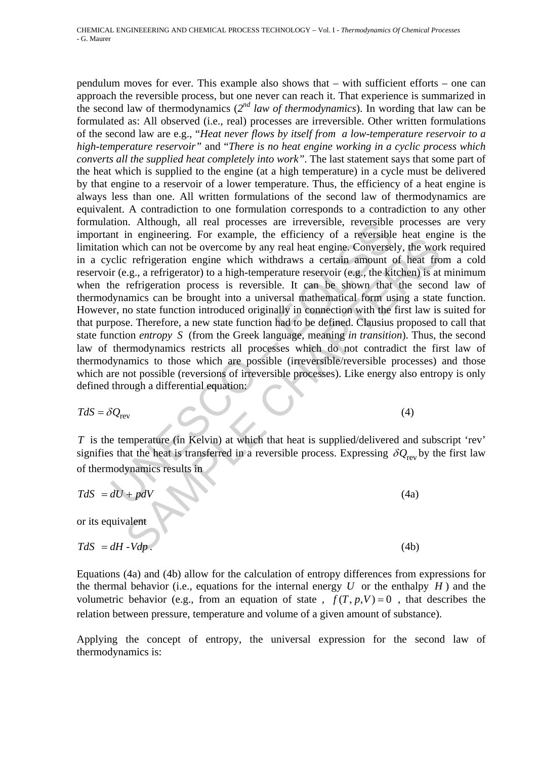tion. Although, all real processes are irreversible, reversible<br>nt in engineering. For example, the efficiency of a reversible<br>non which can not be overcome by any real heat engine. Converse<br>clic refrigeration engine whic m engineering: To example, the entirety or a reversion theat engine<br>
minimization and the overcome by any real heat engine. Conversely, the wor<br>
which can not be overcome by any real heat engine. Conversely, the wor<br>
refr pendulum moves for ever. This example also shows that – with sufficient efforts – one can approach the reversible process, but one never can reach it. That experience is summarized in the second law of thermodynamics  $(2^{nd}$  law of thermodynamics). In wording that law can be formulated as: All observed (i.e., real) processes are irreversible. Other written formulations of the second law are e.g., "*Heat never flows by itself from a low-temperature reservoir to a high-temperature reservoir"* and "*There is no heat engine working in a cyclic process which converts all the supplied heat completely into work"*. The last statement says that some part of the heat which is supplied to the engine (at a high temperature) in a cycle must be delivered by that engine to a reservoir of a lower temperature. Thus, the efficiency of a heat engine is always less than one. All written formulations of the second law of thermodynamics are equivalent. A contradiction to one formulation corresponds to a contradiction to any other formulation. Although, all real processes are irreversible, reversible processes are very important in engineering. For example, the efficiency of a reversible heat engine is the limitation which can not be overcome by any real heat engine. Conversely, the work required in a cyclic refrigeration engine which withdraws a certain amount of heat from a cold reservoir (e.g., a refrigerator) to a high-temperature reservoir (e.g., the kitchen) is at minimum when the refrigeration process is reversible. It can be shown that the second law of thermodynamics can be brought into a universal mathematical form using a state function. However, no state function introduced originally in connection with the first law is suited for that purpose. Therefore, a new state function had to be defined. Clausius proposed to call that state function *entropy S* (from the Greek language, meaning *in transition*). Thus, the second law of thermodynamics restricts all processes which do not contradict the first law of thermodynamics to those which are possible (irreversible/reversible processes) and those which are not possible (reversions of irreversible processes). Like energy also entropy is only defined through a differential equation:

$$
TdS = \delta Q_{\text{rev}} \tag{4}
$$

*T* is the temperature (in Kelvin) at which that heat is supplied/delivered and subscript 'rev' signifies that the heat is transferred in a reversible process. Expressing  $\delta Q_{\text{rev}}$  by the first law of thermodynamics results in

$$
TdS = dU + pdV \tag{4a}
$$

or its equivalent

$$
TdS = dH - Vdp. \t\t(4b)
$$

Equations (4a) and (4b) allow for the calculation of entropy differences from expressions for the thermal behavior (i.e., equations for the internal energy  $U$  or the enthalpy  $H$ ) and the volumetric behavior (e.g., from an equation of state,  $f(T, p, V) = 0$ , that describes the relation between pressure, temperature and volume of a given amount of substance).

Applying the concept of entropy, the universal expression for the second law of thermodynamics is: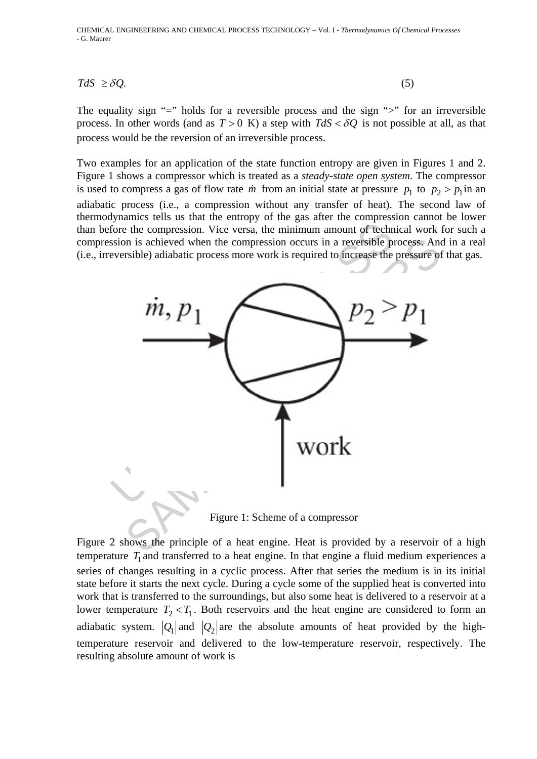$TdS \geq \delta Q.$  (5)

The equality sign "=" holds for a reversible process and the sign ">" for an irreversible process. In other words (and as  $T > 0$  K) a step with  $TdS < \delta Q$  is not possible at all, as that process would be the reversion of an irreversible process.

Two examples for an application of the state function entropy are given in Figures 1 and 2. Figure 1 shows a compressor which is treated as a *steady-state open system*. The compressor is used to compress a gas of flow rate *m* from an initial state at pressure  $p_1$  to  $p_2 > p_1$  in an adiabatic process (i.e., a compression without any transfer of heat). The second law of thermodynamics tells us that the entropy of the gas after the compression cannot be lower than before the compression. Vice versa, the minimum amount of technical work for such a compression is achieved when the compression occurs in a reversible process. And in a real (i.e., irreversible) adiabatic process more work is required to increase the pressure of that gas.



Figure 1: Scheme of a compressor

Figure 2 shows the principle of a heat engine. Heat is provided by a reservoir of a high temperature  $T_1$  and transferred to a heat engine. In that engine a fluid medium experiences a series of changes resulting in a cyclic process. After that series the medium is in its initial state before it starts the next cycle. During a cycle some of the supplied heat is converted into work that is transferred to the surroundings, but also some heat is delivered to a reservoir at a lower temperature  $T_2 < T_1$ . Both reservoirs and the heat engine are considered to form an adiabatic system.  $|Q_1|$  and  $|Q_2|$  are the absolute amounts of heat provided by the hightemperature reservoir and delivered to the low-temperature reservoir, respectively. The resulting absolute amount of work is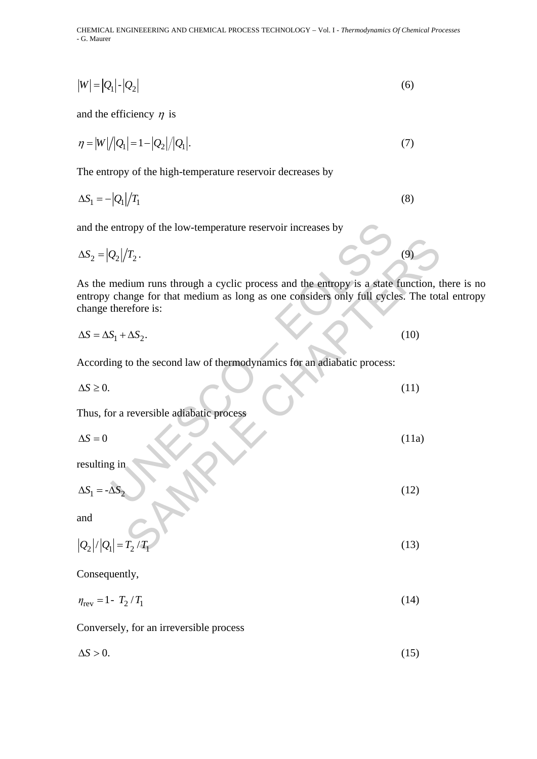CHEMICAL ENGINEEERING AND CHEMICAL PROCESS TECHNOLOGY – Vol. I - *Thermodynamics Of Chemical Processes* - G. Maurer

$$
|W| = |Q_1| \cdot |Q_2| \tag{6}
$$

and the efficiency  $\eta$  is

$$
\eta = |W|/|Q_1| = 1 - |Q_2|/|Q_1|.
$$
\n(7)

The entropy of the high-temperature reservoir decreases by

$$
\Delta S_1 = -|Q_1|/T_1 \tag{8}
$$

and the entropy of the low-temperature reservoir increases by

$$
\Delta S_2 = |Q_2|/T_2. \tag{9}
$$

entropy of the low-temperature reservoir increases by<br>  $Q_2|/T_2$ .<br>
medium runs through a cyclic process and the entropy is a state<br>
change for that medium as long as one considers only full cyclic<br>
therefore is:<br>  $S_1 + \Delta$ ( $T_2$ .<br>
dium runs through a cyclic process and the entropy is a state function, t<br>
range for that medium as long as one considers only full cycles. The tot<br>
refore is:<br>  $-\Delta S_2$ .<br>
(10)<br>
to the second law of thermodynamics As the medium runs through a cyclic process and the entropy is a state function, there is no entropy change for that medium as long as one considers only full cycles. The total entropy change therefore is:

$$
\Delta S = \Delta S_1 + \Delta S_2. \tag{10}
$$

According to the second law of thermodynamics for an adiabatic process:

$$
\Delta S \geq 0. \tag{11}
$$

Thus, for a reversible adiabatic process

$$
\Delta S = 0 \tag{11a}
$$

resulting in

$$
\Delta S_1 = -\Delta S_2 \tag{12}
$$

and

$$
|Q_2|/|Q_1| = T_2/T_1
$$
 (13)

Consequently,

 $n_{\text{rev}} = 1 - T_2 / T_1$  (14)

Conversely, for an irreversible process

$$
\Delta S > 0. \tag{15}
$$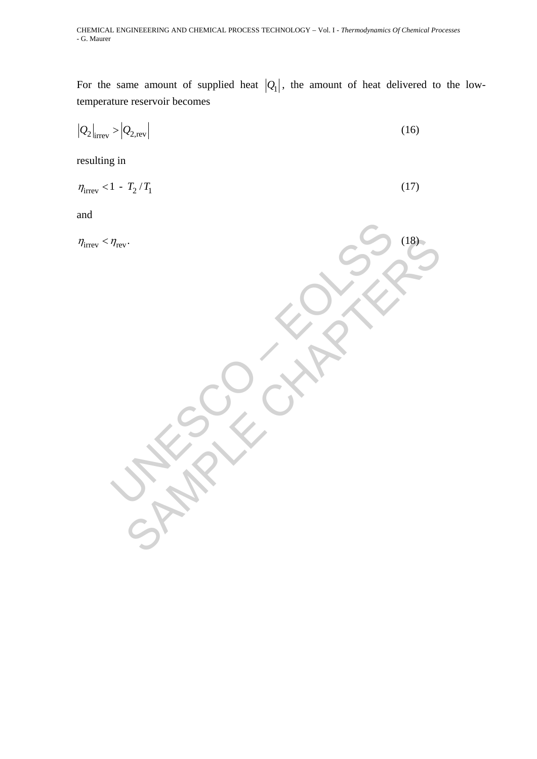For the same amount of supplied heat  $|Q_1|$ , the amount of heat delivered to the lowtemperature reservoir becomes

$$
\left|Q_2\right|_{\text{irrev}} > \left|Q_{2,\text{rev}}\right| \tag{16}
$$

resulting in

$$
\eta_{\text{irrev}} < 1 - T_2 / T_1 \tag{17}
$$

and

UNESCO – EOLSS SAMPLE CHAPTERS irrev rev <sup>η</sup> <<sup>η</sup> . (18)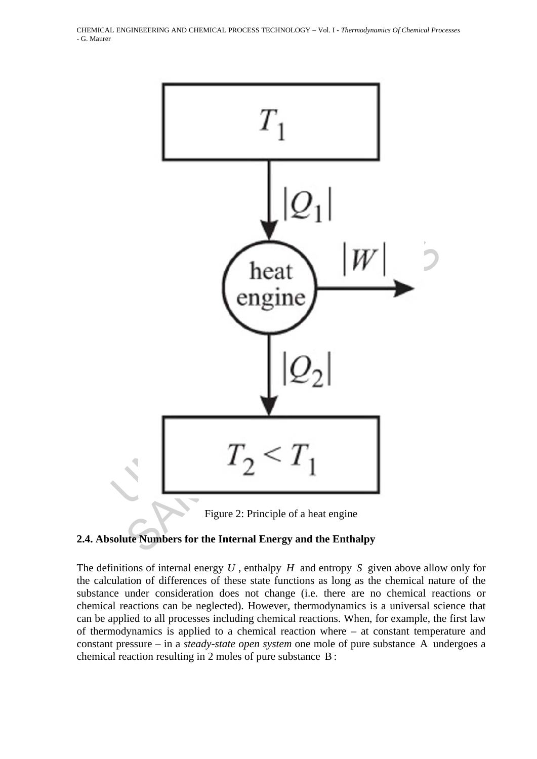



# **2.4. Absolute Numbers for the Internal Energy and the Enthalpy**

The definitions of internal energy *U* , enthalpy *H* and entropy *S* given above allow only for the calculation of differences of these state functions as long as the chemical nature of the substance under consideration does not change (i.e. there are no chemical reactions or chemical reactions can be neglected). However, thermodynamics is a universal science that can be applied to all processes including chemical reactions. When, for example, the first law of thermodynamics is applied to a chemical reaction where – at constant temperature and constant pressure – in a *steady-state open system* one mole of pure substance A undergoes a chemical reaction resulting in 2 moles of pure substance B :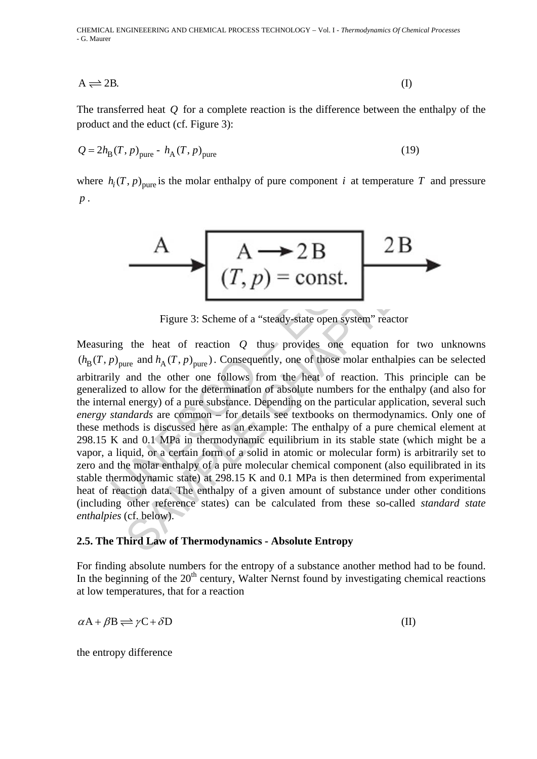CHEMICAL ENGINEEERING AND CHEMICAL PROCESS TECHNOLOGY – Vol. I - *Thermodynamics Of Chemical Processes* - G. Maurer

$$
A \rightleftharpoons 2B. \tag{I}
$$

The transferred heat *Q* for a complete reaction is the difference between the enthalpy of the product and the educt (cf. Figure 3):

$$
Q = 2hB(T, p)pure - hA(T, p)pure
$$
 (19)

where  $h_i(T, p)$ <sub>pure</sub> is the molar enthalpy of pure component *i* at temperature *T* and pressure *p* .



Figure 3: Scheme of a "steady-state open system" reactor

A – 2 B<br>
(T, p) = const.<br>
Figure 3: Scheme of a "steady-state open system" read<br>
ing the heat of reaction Q thus provides one equation<br>  $p_{\text{pure}}$  and  $h_A(T, p)_{\text{pure}}$ ). Consequently, one of those molar enthaly<br>
ing and the A  $\rightarrow$  2 B<br>
(T, p) = const.<br>
Figure 3: Scheme of a "steady-state open system" reactor<br>
the heat of reaction Q thus provides one equation for two<br>
the heat of reaction Q thus provides one equation for two<br>
and the other on Measuring the heat of reaction *Q* thus provides one equation for two unknowns  $(h_{\rm B}(T, p)_{\rm pure}$  and  $h_{\rm A}(T, p)_{\rm pure}$ ). Consequently, one of those molar enthalpies can be selected arbitrarily and the other one follows from the heat of reaction. This principle can be generalized to allow for the determination of absolute numbers for the enthalpy (and also for the internal energy) of a pure substance. Depending on the particular application, several such *energy standards* are common – for details see textbooks on thermodynamics. Only one of these methods is discussed here as an example: The enthalpy of a pure chemical element at 298.15 K and 0.1 MPa in thermodynamic equilibrium in its stable state (which might be a vapor, a liquid, or a certain form of a solid in atomic or molecular form) is arbitrarily set to zero and the molar enthalpy of a pure molecular chemical component (also equilibrated in its stable thermodynamic state) at 298.15 K and 0.1 MPa is then determined from experimental heat of reaction data. The enthalpy of a given amount of substance under other conditions (including other reference states) can be calculated from these so-called *standard state enthalpies* (cf. below).

#### **2.5. The Third Law of Thermodynamics - Absolute Entropy**

For finding absolute numbers for the entropy of a substance another method had to be found. In the beginning of the  $20<sup>th</sup>$  century, Walter Nernst found by investigating chemical reactions at low temperatures, that for a reaction

$$
\alpha A + \beta B \rightleftharpoons \gamma C + \delta D \tag{II}
$$

the entropy difference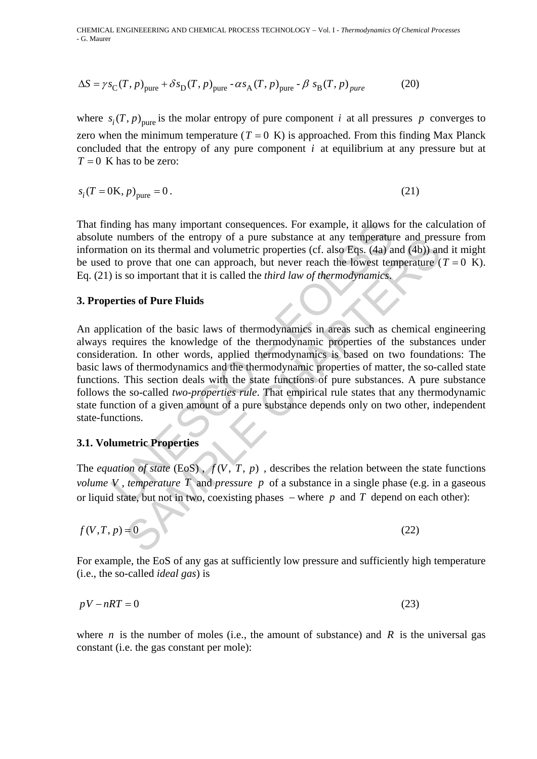$$
\Delta S = \gamma s_{\text{C}}(T, p)_{\text{pure}} + \delta s_{\text{D}}(T, p)_{\text{pure}} - \alpha s_{\text{A}}(T, p)_{\text{pure}} - \beta s_{\text{B}}(T, p)_{\text{pure}} \tag{20}
$$

where  $s_i(T, p)$ <sub>pure</sub> is the molar entropy of pure component *i* at all pressures *p* converges to zero when the minimum temperature ( $T = 0$  K) is approached. From this finding Max Planck concluded that the entropy of any pure component *i* at equilibrium at any pressure but at  $T = 0$  K has to be zero:

$$
s_i(T = 0\text{K}, p)_{\text{pure}} = 0. \tag{21}
$$

That finding has many important consequences. For example, it allows for the calculation of absolute numbers of the entropy of a pure substance at any temperature and pressure from information on its thermal and volumetric properties (cf. also Eqs. (4a) and (4b)) and it might be used to prove that one can approach, but never reach the lowest temperature  $(T = 0 K)$ . Eq. (21) is so important that it is called the *third law of thermodynamics*.

#### **3. Properties of Pure Fluids**

ding has many important consequences. For example, it allows is<br>
a numbers of the entropy of a pure substance at any temperature<br>
it on on its thermal and volumetric properties (cf. also Eqs. 4(a) a<br>
to prove that one can umbers of the entropy of a pure substance at any temperature and preson on its thermal and volumetric properties (cf. also Eqs. (4a) and (4b)) an on its thermal and volumetric properties (cf. also Eqs. (4a) and (4b)) an s An application of the basic laws of thermodynamics in areas such as chemical engineering always requires the knowledge of the thermodynamic properties of the substances under consideration. In other words, applied thermodynamics is based on two foundations: The basic laws of thermodynamics and the thermodynamic properties of matter, the so-called state functions. This section deals with the state functions of pure substances. A pure substance follows the so-called *two-properties rule*. That empirical rule states that any thermodynamic state function of a given amount of a pure substance depends only on two other, independent state-functions.

## **3.1. Volumetric Properties**

The *equation of state* (EoS),  $f(V, T, p)$ , describes the relation between the state functions *volume V* , *temperature T* and *pressure p* of a substance in a single phase (e.g. in a gaseous or liquid state, but not in two, coexisting phases – where  $p$  and  $T$  depend on each other):

$$
f(V,T,p) = 0 \tag{22}
$$

For example, the EoS of any gas at sufficiently low pressure and sufficiently high temperature (i.e., the so-called *ideal gas*) is

$$
pV - nRT = 0 \tag{23}
$$

where *n* is the number of moles (i.e., the amount of substance) and *R* is the universal gas constant (i.e. the gas constant per mole):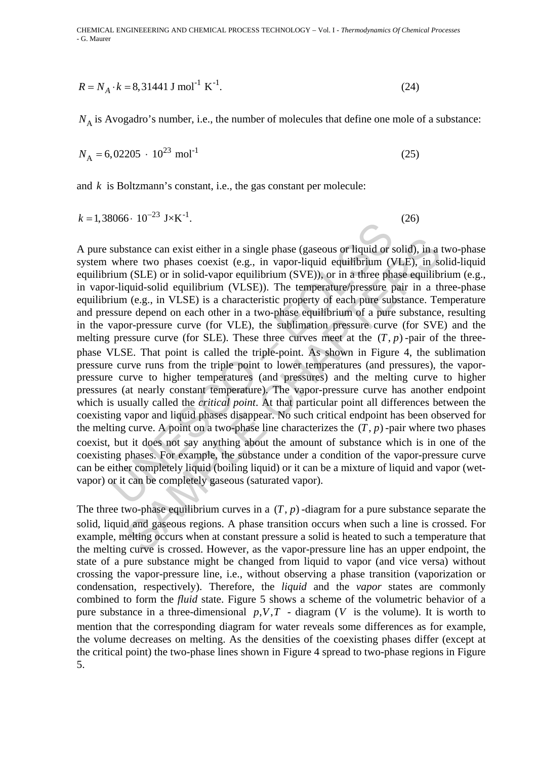$$
R = N_A \cdot k = 8,31441 \text{ J mol}^{-1} \text{ K}^{-1}.
$$
 (24)

 $N_A$  is Avogadro's number, i.e., the number of molecules that define one mole of a substance:

$$
N_{\rm A} = 6,02205 \cdot 10^{23} \text{ mol}^{-1} \tag{25}
$$

and *k* is Boltzmann's constant, i.e., the gas constant per molecule:

$$
k = 1,38066 \cdot 10^{-23} \text{ J} \times \text{K}^{-1}.
$$
 (26)

substance can exist either in a single phase (gaseous or liquid or substance can exist either in a single phase (gaseous or liquid equilibrium (1 ium (SLE) or in solid-vapor equilibrium (SVE)), or in a three phr-<br>I-iquidstance can exist either in a single phase (gaseous or liquid or solid), in a<br>rere two phases coexist (e.g., in vapor-liquid equilibrium (VLE), in s<br>(SLE) or in solid-vapor equilibrium (SVE)), or in a three phase equilib<br>q A pure substance can exist either in a single phase (gaseous or liquid or solid), in a two-phase system where two phases coexist (e.g., in vapor-liquid equilibrium (VLE), in solid-liquid equilibrium (SLE) or in solid-vapor equilibrium (SVE)), or in a three phase equilibrium (e.g., in vapor-liquid-solid equilibrium (VLSE)). The temperature/pressure pair in a three-phase equilibrium (e.g., in VLSE) is a characteristic property of each pure substance. Temperature and pressure depend on each other in a two-phase equilibrium of a pure substance, resulting in the vapor-pressure curve (for VLE), the sublimation pressure curve (for SVE) and the melting pressure curve (for SLE). These three curves meet at the  $(T, p)$ -pair of the threephase VLSE. That point is called the triple-point. As shown in Figure 4, the sublimation pressure curve runs from the triple point to lower temperatures (and pressures), the vaporpressure curve to higher temperatures (and pressures) and the melting curve to higher pressures (at nearly constant temperature). The vapor-pressure curve has another endpoint which is usually called the *critical point*. At that particular point all differences between the coexisting vapor and liquid phases disappear. No such critical endpoint has been observed for the melting curve. A point on a two-phase line characterizes the  $(T, p)$ -pair where two phases coexist, but it does not say anything about the amount of substance which is in one of the coexisting phases. For example, the substance under a condition of the vapor-pressure curve can be either completely liquid (boiling liquid) or it can be a mixture of liquid and vapor (wetvapor) or it can be completely gaseous (saturated vapor).

The three two-phase equilibrium curves in a  $(T, p)$ -diagram for a pure substance separate the solid, liquid and gaseous regions. A phase transition occurs when such a line is crossed. For example, melting occurs when at constant pressure a solid is heated to such a temperature that the melting curve is crossed. However, as the vapor-pressure line has an upper endpoint, the state of a pure substance might be changed from liquid to vapor (and vice versa) without crossing the vapor-pressure line, i.e., without observing a phase transition (vaporization or condensation, respectively). Therefore, the *liquid* and the *vapor* states are commonly combined to form the *fluid* state. Figure 5 shows a scheme of the volumetric behavior of a pure substance in a three-dimensional  $p, V, T$  - diagram (*V* is the volume). It is worth to mention that the corresponding diagram for water reveals some differences as for example, the volume decreases on melting. As the densities of the coexisting phases differ (except at the critical point) the two-phase lines shown in Figure 4 spread to two-phase regions in Figure 5.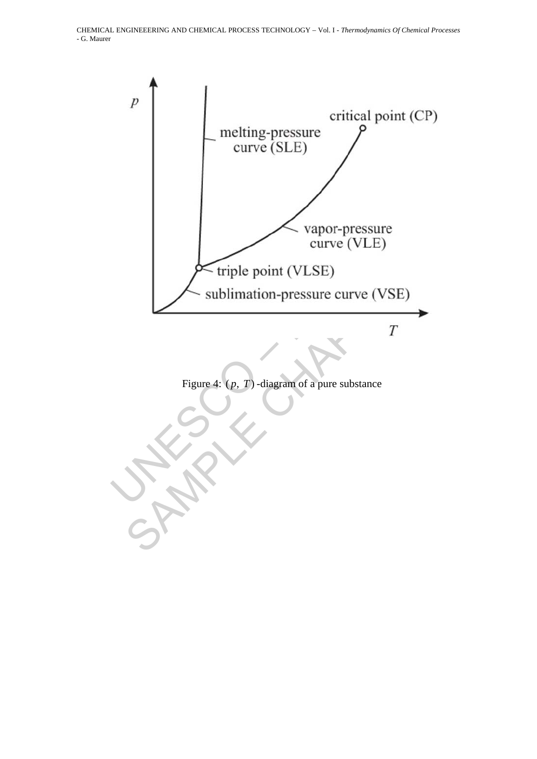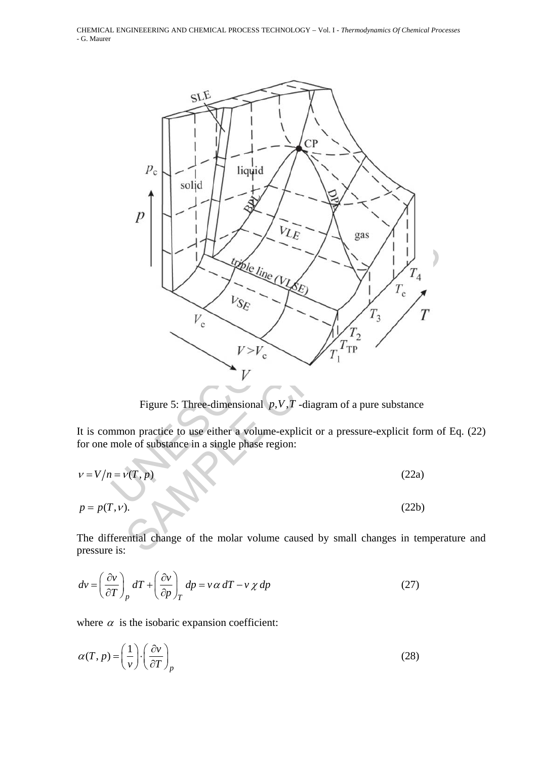

Figure 5: Three-dimensional  $p, V, T$ -diagram of a pure substance

It is common practice to use either a volume-explicit or a pressure-explicit form of Eq. (22) for one mole of substance in a single phase region:

$$
v = V/n = v(T, p)
$$
\n(22a)  
\n
$$
p = p(T, v).
$$
\n(22b)

The differential change of the molar volume caused by small changes in temperature and pressure is:

$$
dv = \left(\frac{\partial v}{\partial T}\right)_p dT + \left(\frac{\partial v}{\partial p}\right)_T dp = v \alpha dT - v \chi dp
$$
 (27)

where  $\alpha$  is the isobaric expansion coefficient:

$$
\alpha(T, p) = \left(\frac{1}{v}\right) \cdot \left(\frac{\partial v}{\partial T}\right)_p \tag{28}
$$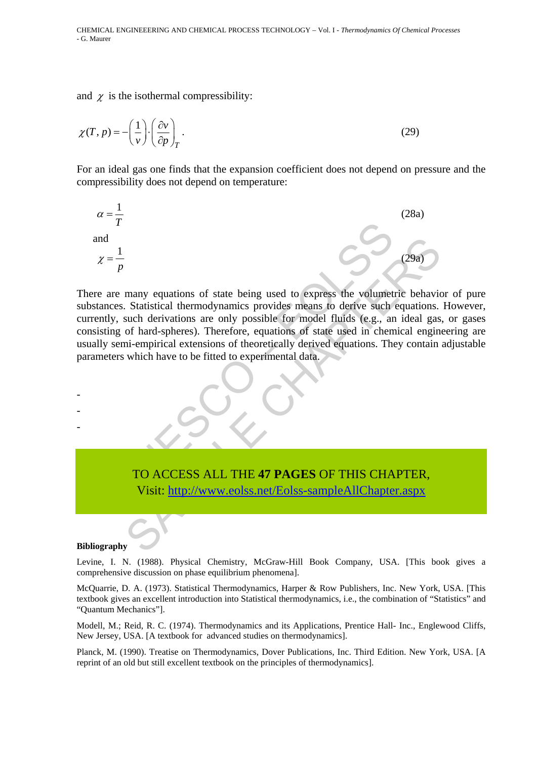and  $\chi$  is the isothermal compressibility:

$$
\chi(T, p) = -\left(\frac{1}{v}\right) \cdot \left(\frac{\partial v}{\partial p}\right)_T.
$$
\n(29)

For an ideal gas one finds that the expansion coefficient does not depend on pressure and the compressibility does not depend on temperature:



 $\frac{1}{p}$ <br>  $=\frac{1}{p}$ <br>
are many equations of state being used to express the volumet<br>
y, such derivations are only possible for model fluids (e.g., and<br>
g of hard-spheres). Therefore, equations of state used in chen<br>
semi-(29a)<br>
many equations of state being used to express the volumetric behavior<br>
Statistical thermodynamics provides means to derive such equations.<br>
such derivations are only possible for model fluids (e.g., an ideal gas<br>
in There are many equations of state being used to express the volumetric behavior of pure substances. Statistical thermodynamics provides means to derive such equations. However, currently, such derivations are only possible for model fluids (e.g., an ideal gas, or gases consisting of hard-spheres). Therefore, equations of state used in chemical engineering are usually semi-empirical extensions of theoretically derived equations. They contain adjustable parameters which have to be fitted to experimental data.



Visit: http://www.eolss.net/Eolss-sampleAllChapter.aspx

#### **Bibliography**

- - -

Levine, I. N. (1988). Physical Chemistry, McGraw-Hill Book Company, USA. [This book gives a comprehensive discussion on phase equilibrium phenomena].

McQuarrie, D. A. (1973). Statistical Thermodynamics, Harper & Row Publishers, Inc. New York, USA. [This textbook gives an excellent introduction into Statistical thermodynamics, i.e., the combination of "Statistics" and "Quantum Mechanics"].

Modell, M.; Reid, R. C. (1974). Thermodynamics and its Applications, Prentice Hall- Inc., Englewood Cliffs, New Jersey, USA. [A textbook for advanced studies on thermodynamics].

Planck, M. (1990). Treatise on Thermodynamics, Dover Publications, Inc. Third Edition. New York, USA. [A reprint of an old but still excellent textbook on the principles of thermodynamics].